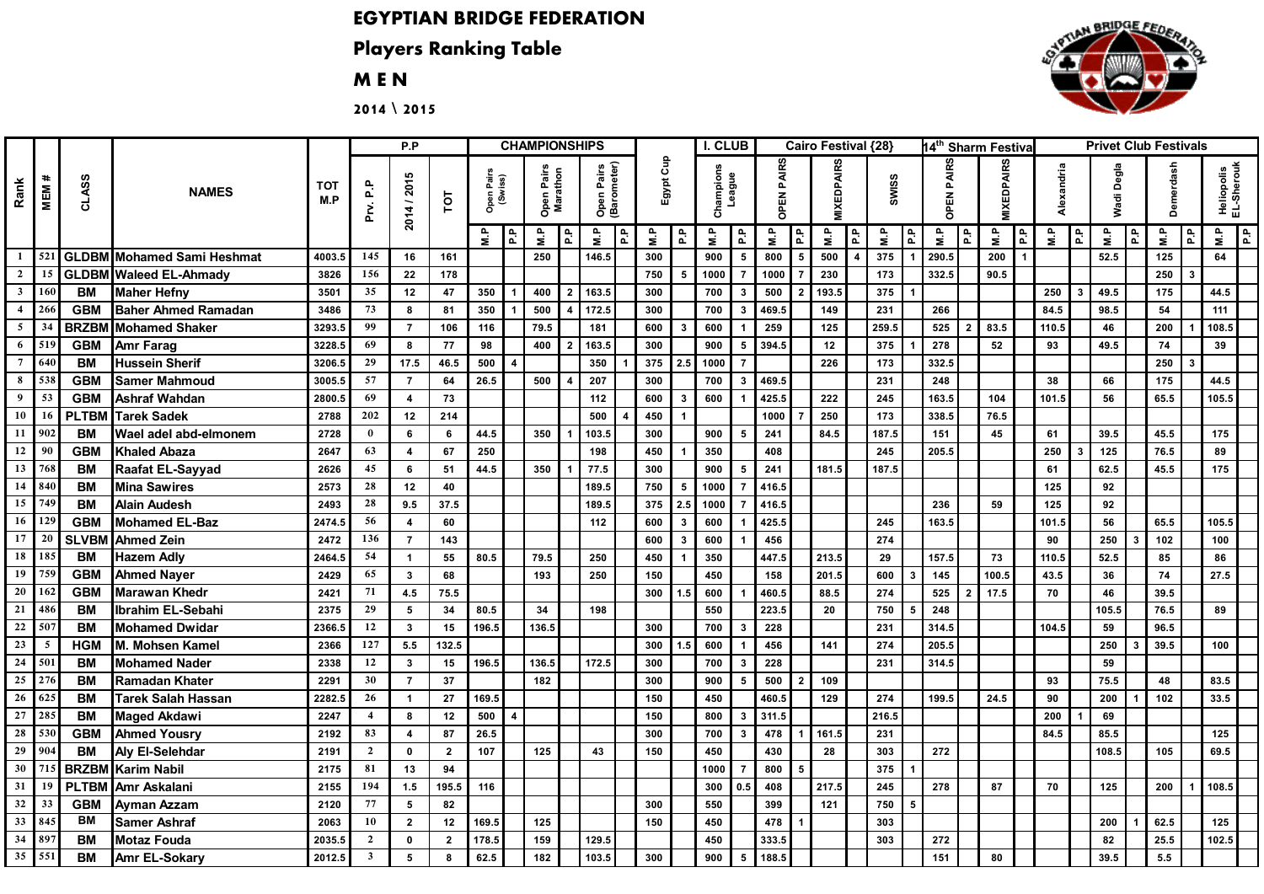## **EGYPTIAN BRIDGE FEDERATION**

## **Players Ranking Table**

## **M E N**

**2014 \ 2015**

| Rank<br>MEM #   |                 |              |                                  |                   | P.P                     |                         |                |                                |       | <b>CHAMPIONSHIPS</b><br>I. CLUB<br>Cairo Festival {28} |                           |          |           |              |                     |     |                   |                  | 14 <sup>th</sup> Sharm Festiva |                         |                 |   | <b>Privet Club Festivals</b> |                |                   |                |            |   |               |      |          |               |                          |  |
|-----------------|-----------------|--------------|----------------------------------|-------------------|-------------------------|-------------------------|----------------|--------------------------------|-------|--------------------------------------------------------|---------------------------|----------|-----------|--------------|---------------------|-----|-------------------|------------------|--------------------------------|-------------------------|-----------------|---|------------------------------|----------------|-------------------|----------------|------------|---|---------------|------|----------|---------------|--------------------------|--|
|                 |                 | <b>CLASS</b> | <b>NAMES</b>                     | <b>TOT</b><br>M.P | Prv. P.P                | 2014 / 2015             | TOT            | Open Pairs<br>(Swiss)          |       | Open Pairs<br>Marathon                                 | Open Pairs<br>(Barometer) |          | Egypt Cup |              | Champions<br>League |     | <b>OPEN PAIRS</b> |                  | <b>MIXEDPAIRS</b>              |                         | SWISS           |   | ENPAIRS<br>동                 |                | <b>MIXEDPAIRS</b> |                | Alexandria |   | Degla<br>Wadi |      | Demerda  |               | Heliopolis<br>EL-Sherouk |  |
|                 |                 |              |                                  |                   |                         |                         |                | 윤                              | q.n   | l£.                                                    | e.                        | <b>A</b> | ۹.        | 휸            | Ξ                   | 윤   | Ρ.                | $P_{\mathbf{A}}$ | N.P                            | R.                      | e<br>N.P        | 휸 | N.P                          | ] 윤            | e<br>N.P          | P <sub>1</sub> | a iM       | 휸 | ۹.            | l st | e<br>N.P | $\frac{a}{2}$ | M.P<br>P.P               |  |
|                 |                 |              | 1 521 GLDBM Mohamed Sami Heshmat | 4003.5            | 145                     | 16                      | 161            |                                | 250   |                                                        | 146.5                     |          | 300       |              | 900                 | 5   | 800               | 5                | 500                            | $\overline{\mathbf{4}}$ | 375             |   | 290.5                        |                | 200               | -1             |            |   | 52.5          |      | 125      |               | 64                       |  |
| $\overline{2}$  | 15              |              | <b>GLDBM</b> Waleed EL-Ahmady    | 3826              | 156                     | 22                      | 178            |                                |       |                                                        |                           |          | 750       | 5            | 1000                |     | 1000              |                  | 230                            |                         | 173             |   | 332.5                        |                | 90.5              |                |            |   |               |      | 250      |               |                          |  |
| $\mathbf{3}$    | 160             | BM           | <b>Maher Hefny</b>               | 3501              | 35                      | 12                      | 47             | 350                            |       | 400                                                    | 163.5                     |          | 300       |              | 700                 | 3   | 500               |                  | 193.5                          |                         | 375             |   |                              |                |                   |                | 250        |   | 49.5          |      | 175      |               | 44.5                     |  |
| $\overline{4}$  | 266             | <b>GBM</b>   | <b>Baher Ahmed Ramadan</b>       | 3486              | 73                      | 8                       | 81             | 350                            | 500   |                                                        | 172.5                     |          | 300       |              | 700                 | 3   | 469.5             |                  | 149                            |                         | 231             |   | 266                          |                |                   |                | 84.5       |   | 98.5          |      | 54       |               | 111                      |  |
| $\mathfrak{s}$  | 34              | <b>BRZBM</b> | <b>Mohamed Shaker</b>            | 3293.5            | 99                      | $\overline{7}$          | 106            | 116                            |       | 79.5                                                   | 181                       |          | 600       | $\mathbf{3}$ | 600                 |     | 259               |                  | 125                            |                         | 259.5           |   | 525                          | $\overline{2}$ | 83.5              |                | 110.5      |   | 46            |      | 200      |               | 108.5                    |  |
| 6               | 519             | <b>GBM</b>   | Amr Farag                        | 3228.5            | 69                      | 8                       | 77             | 98                             |       | 400                                                    | 163.5                     |          | 300       |              | 900                 | 5   | 394.5             |                  | 12                             |                         | 375             |   | 278                          |                | 52                |                | 93         |   | 49.5          |      | 74       |               | 39                       |  |
| $\overline{7}$  | 640             | <b>BM</b>    | <b>Hussein Sherif</b>            | 3206.5            | 29                      | 17.5                    | 46.5           | 500<br>$\boldsymbol{\Lambda}$  |       |                                                        | 350                       |          | 375       | 2.5          | 1000                |     |                   |                  | 226                            |                         | 173             |   | 332.5                        |                |                   |                |            |   |               |      | 250      |               |                          |  |
| $\bf{8}$        | 538             | <b>GBM</b>   | <b>Samer Mahmoud</b>             | 3005.5            | 57                      | $\overline{7}$          | 64             | 26.5                           |       | 500                                                    | 207                       |          | 300       |              | 700                 |     | 469.5             |                  |                                |                         | 231             |   | 248                          |                |                   |                | 38         |   | 66            |      | 175      |               | 44.5                     |  |
| $\overline{9}$  | 53              | <b>GBM</b>   | Ashraf Wahdan                    | 2800.5            | 69                      | 4                       | 73             |                                |       |                                                        | 112                       |          | 600       | $\mathbf{3}$ | 600                 |     | 425.5             |                  | 222                            |                         | 245             |   | 163.5                        |                | 104               |                | 101.5      |   | 56            |      | 65.5     |               | 105.5                    |  |
| 10              | 16              | <b>PLTBM</b> | <b>Tarek Sadek</b>               | 2788              | 202                     | 12                      | 214            |                                |       |                                                        | 500                       |          | 450       |              |                     |     | 1000              |                  | 250                            |                         | $\frac{1}{173}$ |   | 338.5                        |                | 76.5              |                |            |   |               |      |          |               |                          |  |
| $11 \mid 902$   |                 | <b>BM</b>    | Wael adel abd-elmonem            | 2728              | $\bf{0}$                | 6                       | 6              | 44.5                           |       | 350                                                    | 103.5                     |          | 300       |              | 900                 | 5   | 241               |                  | 84.5                           |                         | 187.5           |   | 151                          |                | 45                |                | 61         |   | 39.5          |      | 45.5     |               | 175                      |  |
| 12              | 90              | <b>GBM</b>   | <b>Khaled Abaza</b>              | 2647              | 63                      | $\overline{\mathbf{4}}$ | 67             | 250                            |       |                                                        | 198                       |          | 450       | $\mathbf{1}$ | 350                 |     | 408               |                  |                                |                         | 245             |   | 205.5                        |                |                   |                | 250        |   | 125           |      | 76.5     |               | 89                       |  |
| 13              | 768             | <b>BM</b>    | Raafat EL-Sayyad                 | 2626              | 45                      | 6                       | 51             | 44.5                           |       | 350                                                    | 77.5                      |          | 300       |              | 900                 | 5   | 241               |                  | 181.5                          |                         | 187.5           |   |                              |                |                   |                | 61         |   | 62.5          |      | 45.5     |               | 175                      |  |
| 14              | 840             | <b>BM</b>    | <b>Mina Sawires</b>              | 2573              | 28                      | 12                      | 40             |                                |       |                                                        | 189.5                     |          | 750       | 5            | 1000                |     | 416.5             |                  |                                |                         |                 |   |                              |                |                   |                | 125        |   | 92            |      |          |               |                          |  |
| 15              | 749             | <b>BM</b>    | <b>Alain Audesh</b>              | 2493              | 28                      | 9.5                     | 37.5           |                                |       |                                                        | 189.5                     |          | 375       | 2.5          | 1000                |     | 416.5             |                  |                                |                         |                 |   | 236                          |                | 59                |                | 125        |   | 92            |      |          |               |                          |  |
| 16              | 129             | <b>GBM</b>   | <b>Mohamed EL-Baz</b>            | 2474.5            | 56                      | $\overline{\mathbf{4}}$ | 60             |                                |       |                                                        | 112                       |          | 600       | 3            | 600                 |     | 425.5             |                  |                                |                         | 245             |   | 163.5                        |                |                   |                | 101.5      |   | 56            |      | 65.5     |               | 105.5                    |  |
| 17              | 20              | <b>SLVBM</b> | <b>Ahmed Zein</b>                | 2472              | 136                     | $\overline{7}$          | 143            |                                |       |                                                        |                           |          | 600       | $\mathbf{3}$ | 600                 |     | 456               |                  |                                |                         | 274             |   |                              |                |                   |                | 90         |   | 250           | 3    | 102      |               | 100                      |  |
| 18              | 185             | <b>BM</b>    | <b>Hazem Adly</b>                | 2464.5            | 54                      |                         | 55             | 80.5                           | 79.5  |                                                        | 250                       |          | 450       |              | 350                 |     | 447.5             |                  | 213.5                          |                         | 29              |   | 157.5                        |                | 73                |                | 110.5      |   | 52.5          |      | 85       |               | 86                       |  |
| 19              | 759             | <b>GBM</b>   | <b>Ahmed Nayer</b>               | 2429              | 65                      | $\mathbf{3}$            | 68             |                                | 193   |                                                        | 250                       |          | 150       |              | 450                 |     | 158               |                  | 201.5                          |                         | 600             |   | 145                          |                | 100.5             |                | 43.5       |   | 36            |      | 74       |               | 27.5                     |  |
| $\overline{20}$ | 162             | <b>GBM</b>   | <b>Marawan Khedr</b>             | 2421              | 71                      | 4.5                     | 75.5           |                                |       |                                                        |                           |          | 300       | 1.5          | 600                 |     | 460.5             |                  | 88.5                           |                         | 274             |   | 525                          |                | 17.5              |                | 70         |   | 46            |      | 39.5     |               |                          |  |
| 21              | 486             | <b>BM</b>    | Ibrahim EL-Sebahi                | 2375              | 29                      | 5                       | 34             | 80.5                           |       | 34                                                     | 198                       |          |           |              | 550                 |     | 223.5             |                  | 20                             |                         | 750             |   | 248                          |                |                   |                |            |   | 105.5         |      | 76.5     |               | 89                       |  |
| 22              | 507             | <b>BM</b>    | <b>Mohamed Dwidar</b>            | 2366.5            | 12                      | $\mathbf{3}$            | 15             | 196.5                          | 136.5 |                                                        |                           |          | 300       |              | 700                 | 3   | 228               |                  |                                |                         | 231             |   | 314.5                        |                |                   |                | 104.5      |   | 59            |      | 96.5     |               |                          |  |
| $23\,$          | $5\overline{5}$ | <b>HGM</b>   | M. Mohsen Kamel                  | 2366              | 127                     | $5.5\,$                 | 132.5          |                                |       |                                                        |                           |          | 300       | 1.5          | 600                 |     | 456               |                  | 141                            |                         | 274             |   | 205.5                        |                |                   |                |            |   | 250           |      | 39.5     |               | 100                      |  |
| 24              | 501             | BM           | <b>Mohamed Nader</b>             | 2338              | 12                      | 3                       | 15             | 196.5                          | 136.5 |                                                        | 172.5                     |          | 300       |              | 700                 |     | 228               |                  |                                |                         | 231             |   | 314.5                        |                |                   |                |            |   | 59            |      |          |               |                          |  |
| ${\bf 25}$      | 276             | <b>BM</b>    | <b>Ramadan Khater</b>            | 2291              | 30                      | $\overline{7}$          | 37             |                                |       | 182                                                    |                           |          | 300       |              | 900                 | 5   | 500               |                  | 109                            |                         |                 |   |                              |                |                   |                | 93         |   | 75.5          |      | 48       |               | 83.5                     |  |
| 26              | 625             | <b>BM</b>    | <b>Tarek Salah Hassan</b>        | 2282.5            | 26                      |                         | 27             | 169.5                          |       |                                                        |                           |          | 150       |              | 450                 |     | 460.              |                  | 129                            |                         | 274             |   | 199.5                        |                | 24.5              |                | 90         |   | 200           |      | 102      |               | 33.5                     |  |
| 27              | 285             | <b>BM</b>    | <b>Maged Akdawi</b>              | 2247              | $\overline{a}$          | 8                       | 12             | 500<br>$\overline{\mathbf{A}}$ |       |                                                        |                           |          | 150       |              | 800                 | 3   | 311.5             |                  |                                |                         | 216.5           |   |                              |                |                   |                | 200        |   | 69            |      |          |               |                          |  |
| 28              | 530             | <b>GBM</b>   | <b>Ahmed Yousry</b>              | 2192              | 83                      | $\overline{4}$          | 87             | 26.5                           |       |                                                        |                           |          | 300       |              | 700                 | 3   | 478               |                  | 161.5                          |                         | 231             |   |                              |                |                   |                | 84.5       |   | 85.5          |      |          |               | 125                      |  |
| $\overline{29}$ | 904             | <b>BM</b>    | Aly El-Selehdar                  | 2191              | $\overline{2}$          | 0                       | $\overline{2}$ | 107                            |       | 125                                                    | 43                        |          | 150       |              | 450                 |     | 430               |                  | 28                             |                         | 303             |   | 272                          |                |                   |                |            |   | 108.5         |      | 105      |               | 69.5                     |  |
| 30              | 715             | <b>BRZBM</b> | <b>Karim Nabil</b>               | 2175              | 81                      | 13                      | 94             |                                |       |                                                        |                           |          |           |              | 1000                |     | 800               |                  |                                |                         | 375             |   |                              |                |                   |                |            |   |               |      |          |               |                          |  |
| 31              | 19              | <b>PLTBM</b> | Amr Askalani                     | 2155              | 194                     | 1.5                     | 195.5          | 116                            |       |                                                        |                           |          |           |              | 300                 | 0.5 | 408               |                  | 217.5                          |                         | 245             |   | 278                          |                | 87                |                | 70         |   | 125           |      | 200      |               | 108.5                    |  |
| 32              | 33              | <b>GBM</b>   | Ayman Azzam                      | 2120              | 77                      | 5                       | 82             |                                |       |                                                        |                           |          | 300       |              | 550                 |     | 399               |                  | 121                            |                         | 750             | 5 |                              |                |                   |                |            |   |               |      |          |               |                          |  |
| 33 845          |                 | BM           | <b>Samer Ashraf</b>              | 2063              | 10                      | $\overline{2}$          | 12             | 169.5                          |       | 125                                                    |                           |          | 150       |              | 450                 |     | 478               |                  |                                |                         | 303             |   |                              |                |                   |                |            |   | 200           |      | 62.5     |               | 125                      |  |
| 34              | 897             | <b>BM</b>    | <b>Motaz Fouda</b>               | 2035.5            | $\overline{2}$          | $\mathbf{0}$            | $\overline{2}$ | 178.5                          |       | 159                                                    | 129.5                     |          |           |              | 450                 |     | 333.5             |                  |                                |                         | 303             |   | 272                          |                |                   |                |            |   | 82            |      | 25.5     |               | 102.5                    |  |
| 35              | 551             | <b>BM</b>    | Amr EL-Sokary                    | 2012.5            | $\overline{\mathbf{3}}$ | 5                       | 8              | 62.5                           |       | 182                                                    | 103.5                     |          | 300       |              | 900                 | 5   | 188.5             |                  |                                |                         |                 |   | 151                          |                | 80                |                |            |   | 39.5          |      | 5.5      |               |                          |  |

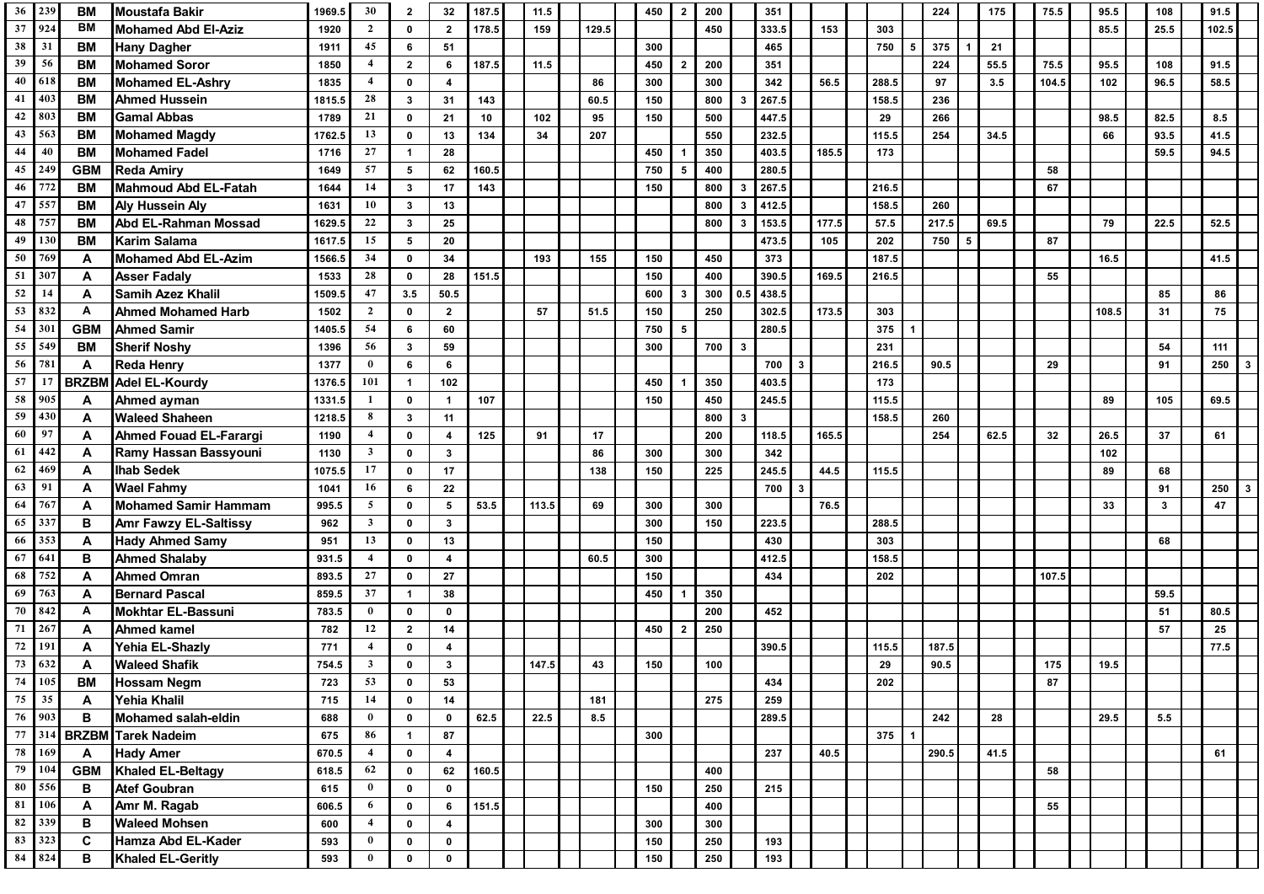| 36        | 239             | <b>BM</b>    | Moustafa Bakir                        | 1969.5     | 30                      | $\mathbf{2}$      | 32                      | 187.5 | 11.5  |       | 450 | $\overline{2}$ | 200 |              | 351                 |       |       |   | 224   |    | 175  | 75.5  | 95.5  | 108          | 91.5       |  |
|-----------|-----------------|--------------|---------------------------------------|------------|-------------------------|-------------------|-------------------------|-------|-------|-------|-----|----------------|-----|--------------|---------------------|-------|-------|---|-------|----|------|-------|-------|--------------|------------|--|
| 37        | 924             | BM           | <b>Mohamed Abd El-Aziz</b>            | 1920       | $\overline{2}$          | $\mathbf 0$       | $\overline{2}$          | 178.5 | 159   | 129.5 |     |                | 450 |              | 333.5               | 153   | 303   |   |       |    |      |       | 85.5  | 25.5         | 102.5      |  |
| 38        | 31              | <b>BM</b>    | <b>Hany Dagher</b>                    | 1911       | 45                      | 6                 | 51                      |       |       |       | 300 |                |     |              | 465                 |       | 750   | 5 | 375   |    | 21   |       |       |              |            |  |
| 39        | 56              | <b>BM</b>    | <b>Mohamed Soror</b>                  | 1850       | $\overline{a}$          | $\overline{2}$    | 6                       | 187.5 | 11.5  |       | 450 | $\overline{2}$ | 200 |              | 351                 |       |       |   | 224   |    | 55.5 | 75.5  | 95.5  | 108          | 91.5       |  |
| 40        | 618             | <b>BM</b>    | <b>Mohamed EL-Ashry</b>               | 1835       | $\overline{4}$          | $\mathbf 0$       | $\overline{4}$          |       |       | 86    | 300 |                | 300 |              | 342                 | 56.5  | 288.5 |   | 97    |    | 3.5  | 104.5 | 102   | 96.5         | 58.5       |  |
| 41        | 403             | <b>BM</b>    | <b>Ahmed Hussein</b>                  | 1815.5     | 28                      | $\mathbf{3}$      | 31                      | 143   |       | 60.5  | 150 |                | 800 | з.           | 267.5               |       | 158.5 |   | 236   |    |      |       |       |              |            |  |
| 42        | 803             | <b>BM</b>    | <b>Gamal Abbas</b>                    | 1789       | 21                      | $\mathbf 0$       | 21                      | 10    | 102   | 95    | 150 |                | 500 |              | 447.5               |       | 29    |   | 266   |    |      |       | 98.5  | 82.5         | 8.5        |  |
| 43        | 563             | <b>BM</b>    | <b>Mohamed Magdy</b>                  | 1762.5     | 13                      | $\mathbf 0$       | 13                      | 134   | 34    | 207   |     |                | 550 |              | 232.5               |       | 115.5 |   | 254   |    | 34.5 |       | 66    | 93.5         | 41.5       |  |
| 44        | 40              | <b>BM</b>    | <b>Mohamed Fadel</b>                  | 1716       | 27                      | $\mathbf 1$       | 28                      |       |       |       | 450 |                | 350 |              | 403.5               | 185.5 | 173   |   |       |    |      |       |       | 59.5         | 94.5       |  |
| 45        | 249             | <b>GBM</b>   | <b>Reda Amiry</b>                     | 1649       | 57                      | 5                 | 62                      | 160.5 |       |       | 750 | 5              | 400 |              | 280.5               |       |       |   |       |    |      | 58    |       |              |            |  |
| 46        | 772             | BМ           | Mahmoud Abd EL-Fatah                  | 1644       | 14                      | $\mathbf{3}$      | 17                      | 143   |       |       | 150 |                | 800 | 3            | 267.5               |       | 216.5 |   |       |    |      | 67    |       |              |            |  |
| 47        | 55              | BM           | <b>Aly Hussein Aly</b>                | 1631       | 10                      | $\mathbf{3}$      | 13                      |       |       |       |     |                | 800 | 3            | 412.5               |       | 158.5 |   | 260   |    |      |       |       |              |            |  |
| 48        | 75 <sup>7</sup> | BМ           | Abd EL-Rahman Mossad                  | 1629.5     | 22                      | $\mathbf{3}$      | 25                      |       |       |       |     |                | 800 | 3            | 153.5               | 177.5 | 57.5  |   | 217.5 |    | 69.5 |       | 79    | 22.5         | 52.5       |  |
| 49        | 130             | <b>BM</b>    | <b>Karim Salama</b>                   | 1617.5     | 15                      | 5                 | 20                      |       |       |       |     |                |     |              | 473.5               | 105   | 202   |   | 750   | -5 |      | 87    |       |              |            |  |
| 50        | 769             | A            | <b>Mohamed Abd EL-Azim</b>            | 1566.5     | 34                      | $\mathbf 0$       | 34                      |       | 193   | 155   | 150 |                | 450 |              | 373                 |       | 187.5 |   |       |    |      |       | 16.5  |              | 41.5       |  |
| 51        | 307             | A            | <b>Asser Fadaly</b>                   | 1533       | 28                      | $\mathbf 0$       | 28                      | 151.5 |       |       | 150 |                | 400 |              | 390.5               | 169.5 | 216.5 |   |       |    |      | 55    |       |              |            |  |
| 52        | 14              | A            | <b>Samih Azez Khalil</b>              | 1509.5     | 47                      | 3.5               | 50.5                    |       |       |       | 600 | $\mathbf{3}$   | 300 | 0.5          | 438.5               |       |       |   |       |    |      |       |       | 85           | 86         |  |
| 53        | 832             | A            | <b>Ahmed Mohamed Harb</b>             | 1502       | $\overline{2}$          | $\mathbf 0$       | $\overline{2}$          |       | 57    | 51.5  | 150 |                | 250 |              | 302.5               | 173.5 | 303   |   |       |    |      |       | 108.5 | 31           | 75         |  |
| 54        | 301             | <b>GBM</b>   | <b>Ahmed Samir</b>                    | 405.5      | 54                      | 6                 | 60                      |       |       |       | 750 | 5              |     |              | 280.5               |       | 375   |   |       |    |      |       |       |              |            |  |
| 55        | 549             | <b>BM</b>    | <b>Sherif Noshy</b>                   | 1396       | 56                      | $\mathbf{3}$      | 59                      |       |       |       | 300 |                | 700 | $\mathbf{3}$ |                     |       | 231   |   |       |    |      |       |       | 54           | 111        |  |
| 56        | 781             | A            | <b>Reda Henry</b>                     | 1377       | $\bf{0}$                | 6                 | 6                       |       |       |       |     |                |     |              | 700<br>$\mathbf{3}$ |       | 216.5 |   | 90.5  |    |      | 29    |       | 91           | 250        |  |
| 57        | 17              | <b>BRZBM</b> | <b>Adel EL-Kourdy</b>                 | 1376.5     | 101                     | $\mathbf{1}$      | 102                     |       |       |       | 450 |                | 350 |              | 403.5               |       | 173   |   |       |    |      |       |       |              |            |  |
| 58        | 905             | A            | Ahmed ayman                           | 1331.5     | -1                      | $\mathbf 0$       | $\mathbf{1}$            | 107   |       |       | 150 |                | 450 |              | 245.5               |       | 115.5 |   |       |    |      |       | 89    | 105          | 69.5       |  |
| 59        | 430             | A            | <b>Waleed Shaheen</b>                 | 1218.5     | 8                       | $\mathbf{3}$      | 11                      |       |       |       |     |                | 800 | 3            |                     |       | 158.5 |   | 260   |    |      |       |       |              |            |  |
| 60        | 97              | A            | <b>Ahmed Fouad EL-Farargi</b>         | 1190       | $\overline{\mathbf{4}}$ | $\mathbf 0$       | $\overline{\mathbf{4}}$ | 125   | 91    | 17    |     |                | 200 |              | 118.5               | 165.5 |       |   | 254   |    | 62.5 | 32    | 26.5  | 37           | 61         |  |
| 61        | 442             | A            | Ramy Hassan Bassyouni                 | 1130       | $\mathbf{3}$            | 0                 | $\mathbf{3}$            |       |       | 86    | 300 |                | 300 |              | 342                 |       |       |   |       |    |      |       | 102   |              |            |  |
| 62        | 469             | A            | <b>Ihab Sedek</b>                     | 1075.5     | 17                      | 0                 | 17                      |       |       | 138   | 150 |                | 225 |              | 245.5               | 44.5  | 115.5 |   |       |    |      |       | 89    | 68           |            |  |
| 63        | 91              | A            | <b>Wael Fahmy</b>                     | 1041       | 16                      | 6                 | 22                      |       |       |       |     |                |     |              | 700<br>-3           |       |       |   |       |    |      |       |       | 91           | 250        |  |
| 64        | 767             | A            | <b>Mohamed Samir Hammam</b>           | 995.5      | $\mathbf{5}$            | $\mathbf 0$       | 5                       | 53.5  | 113.5 | 69    | 300 |                | 300 |              |                     | 76.5  |       |   |       |    |      |       | 33    | $\mathbf{3}$ | 47         |  |
| 65        | 337             | в            | <b>Amr Fawzy EL-Saltissy</b>          | 962        | $\overline{\mathbf{3}}$ | 0                 | $\mathbf{3}$            |       |       |       | 300 |                | 150 |              | 223.5               |       | 288.5 |   |       |    |      |       |       |              |            |  |
| 66        | 353             | A            | <b>Hady Ahmed Samy</b>                | 951        | 13                      | $\mathbf 0$       | 13                      |       |       |       | 150 |                |     |              | 430                 |       | 303   |   |       |    |      |       |       | 68           |            |  |
| 67        | 641             | B            | <b>Ahmed Shalaby</b>                  | 931.5      | $\overline{\mathbf{4}}$ | $\mathbf 0$       | $\overline{\mathbf{4}}$ |       |       | 60.5  | 300 |                |     |              | 412.5               |       | 158.5 |   |       |    |      |       |       |              |            |  |
| 68        | 752             | A            | <b>Ahmed Omran</b>                    | 893.5      | 27                      | $\mathbf{0}$      | 27                      |       |       |       | 150 |                |     |              | 434                 |       | 202   |   |       |    |      | 107.5 |       |              |            |  |
| 69<br>70  | 763<br>842      | A            | <b>Bernard Pascal</b>                 | 859.5      | 37<br>$\bf{0}$          | $\mathbf{1}$      | 38                      |       |       |       | 450 |                | 350 |              |                     |       |       |   |       |    |      |       |       | 59.5         |            |  |
| 71        | 26 <sup>2</sup> | A            | <b>Mokhtar EL-Bassuni</b>             | 783.5      | 12                      | $\mathbf 0$       | $\mathbf 0$             |       |       |       |     |                | 200 |              | 452                 |       |       |   |       |    |      |       |       | 51<br>57     | 80.5       |  |
| 72        | 191             | A<br>A       | <b>Ahmed kamel</b><br>Yehia EL-Shazly | 782<br>771 | $\overline{\mathbf{4}}$ | $\mathbf{2}$<br>0 | 14<br>4                 |       |       |       | 450 | $\overline{2}$ | 250 |              | 390.5               |       | 115.5 |   | 187.5 |    |      |       |       |              | 25<br>77.5 |  |
| 73        | 632             |              | <b>Waleed Shafik</b>                  | 754.5      | $\overline{\mathbf{3}}$ | 0                 | 3                       |       | 147.5 | 43    | 150 |                | 100 |              |                     |       | 29    |   | 90.5  |    |      | 175   | 19.5  |              |            |  |
| 74 105    |                 | A<br>BM      | <b>Hossam Negm</b>                    | 723        | 53                      | 0                 | 53                      |       |       |       |     |                |     |              | 434                 |       | 202   |   |       |    |      | 87    |       |              |            |  |
| 75        | 35              | A            | Yehia Khalil                          | 715        | 14                      | $\mathbf 0$       | 14                      |       |       | 181   |     |                | 275 |              | 259                 |       |       |   |       |    |      |       |       |              |            |  |
| 76 903    |                 | В            | Mohamed salah-eldin                   | 688        | $\bf{0}$                | $\mathbf 0$       | $\mathbf 0$             | 62.5  | 22.5  | 8.5   |     |                |     |              | 289.5               |       |       |   | 242   |    | 28   |       | 29.5  | 5.5          |            |  |
| 77        | 314             |              | <b>BRZBM</b> Tarek Nadeim             | 675        | 86                      | $\mathbf{1}$      | 87                      |       |       |       | 300 |                |     |              |                     |       | 375   |   |       |    |      |       |       |              |            |  |
| 78        | 169             | A            | <b>Hady Amer</b>                      | 670.5      | $\overline{\mathbf{4}}$ | $\mathbf 0$       | $\overline{\mathbf{4}}$ |       |       |       |     |                |     |              | 237                 | 40.5  |       |   | 290.5 |    | 41.5 |       |       |              | 61         |  |
| 79        | 104             | <b>GBM</b>   | Khaled EL-Beltagy                     | 618.5      | 62                      | $\mathbf 0$       | 62                      | 160.5 |       |       |     |                | 400 |              |                     |       |       |   |       |    |      | 58    |       |              |            |  |
| $\bf{80}$ | 556             | в            | <b>Atef Goubran</b>                   | 615        | $\bf{0}$                | 0                 | $\mathbf 0$             |       |       |       | 150 |                | 250 |              | 215                 |       |       |   |       |    |      |       |       |              |            |  |
| 81        | 106             | Α            | Amr M. Ragab                          | 606.5      | 6                       | 0                 | 6                       | 151.5 |       |       |     |                | 400 |              |                     |       |       |   |       |    |      | 55    |       |              |            |  |
| 82        | 339             | в            | <b>Waleed Mohsen</b>                  | 600        | $\overline{\mathbf{4}}$ | 0                 | 4                       |       |       |       | 300 |                | 300 |              |                     |       |       |   |       |    |      |       |       |              |            |  |
| 83        | 323             | C            | Hamza Abd EL-Kader                    | 593        | $\bf{0}$                | 0                 | $\mathbf 0$             |       |       |       | 150 |                | 250 |              | 193                 |       |       |   |       |    |      |       |       |              |            |  |
| 84        | 824             | в            | Khaled EL-Geritly                     | 593        | $\bf{0}$                | $\mathbf 0$       | $\mathbf 0$             |       |       |       | 150 |                | 250 |              | 193                 |       |       |   |       |    |      |       |       |              |            |  |
|           |                 |              |                                       |            |                         |                   |                         |       |       |       |     |                |     |              |                     |       |       |   |       |    |      |       |       |              |            |  |